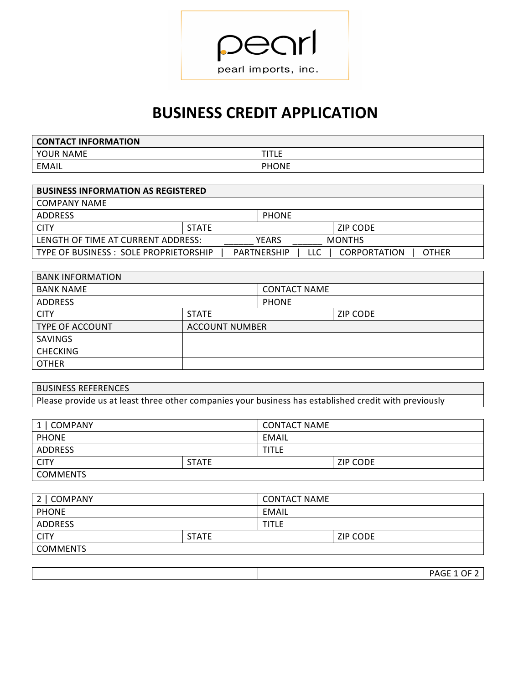

## **BUSINESS CREDIT APPLICATION**

| <b>CONTACT INFORMATION</b> |              |
|----------------------------|--------------|
| YOUR NAME                  | T(T)<br>.    |
| EMAIL                      | <b>PHONE</b> |

| <b>BUSINESS INFORMATION AS REGISTERED</b> |              |                           |                                     |
|-------------------------------------------|--------------|---------------------------|-------------------------------------|
| COMPANY NAME                              |              |                           |                                     |
| ADDRESS                                   |              | <b>PHONE</b>              |                                     |
| <b>CITY</b>                               | <b>STATE</b> |                           | ZIP CODE                            |
| LENGTH OF TIME AT CURRENT ADDRESS:        |              | <b>YFARS</b>              | <b>MONTHS</b>                       |
| TYPE OF BUSINESS : SOLE PROPRIETORSHIP    |              | <b>PARTNERSHIP</b><br>LLC | <b>CORPORTATION</b><br><b>OTHER</b> |

| <b>BANK INFORMATION</b> |                       |                     |                 |
|-------------------------|-----------------------|---------------------|-----------------|
| <b>BANK NAME</b>        |                       | <b>CONTACT NAME</b> |                 |
| <b>ADDRESS</b>          |                       | <b>PHONE</b>        |                 |
| <b>CITY</b>             | <b>STATE</b>          |                     | <b>ZIP CODE</b> |
| <b>TYPE OF ACCOUNT</b>  | <b>ACCOUNT NUMBER</b> |                     |                 |
| <b>SAVINGS</b>          |                       |                     |                 |
| <b>CHECKING</b>         |                       |                     |                 |
| <b>OTHER</b>            |                       |                     |                 |

| <b>BUSINESS REFERENCES</b>                                                                            |  |
|-------------------------------------------------------------------------------------------------------|--|
| Please provide us at least three other companies your business has established credit with previously |  |

| 1   COMPANY     |              | <b>CONTACT NAME</b> |                 |
|-----------------|--------------|---------------------|-----------------|
| <b>PHONE</b>    |              | EMAIL               |                 |
| ADDRESS         |              | <b>TITLE</b>        |                 |
| <b>CITY</b>     | <b>STATE</b> |                     | <b>ZIP CODE</b> |
| <b>COMMENTS</b> |              |                     |                 |

| 2   COMPANY     |              | <b>CONTACT NAME</b> |          |
|-----------------|--------------|---------------------|----------|
| <b>PHONE</b>    |              | EMAIL               |          |
| ADDRESS         |              | <b>TITLE</b>        |          |
| <b>CITY</b>     | <b>STATE</b> |                     | ZIP CODE |
| <b>COMMENTS</b> |              |                     |          |
|                 |              |                     |          |

| $P^{\prime}$ |
|--------------|
| $\cdots$     |